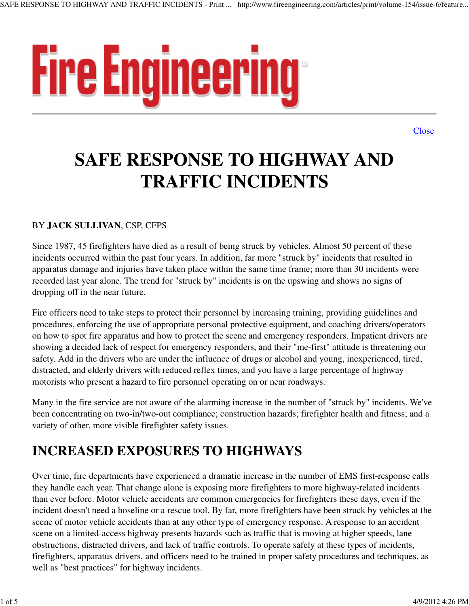

**Close** 

# **SAFE RESPONSE TO HIGHWAY AND TRAFFIC INCIDENTS**

#### BY **JACK SULLIVAN**, CSP, CFPS

Since 1987, 45 firefighters have died as a result of being struck by vehicles. Almost 50 percent of these incidents occurred within the past four years. In addition, far more "struck by" incidents that resulted in apparatus damage and injuries have taken place within the same time frame; more than 30 incidents were recorded last year alone. The trend for "struck by" incidents is on the upswing and shows no signs of dropping off in the near future.

Fire officers need to take steps to protect their personnel by increasing training, providing guidelines and procedures, enforcing the use of appropriate personal protective equipment, and coaching drivers/operators on how to spot fire apparatus and how to protect the scene and emergency responders. Impatient drivers are showing a decided lack of respect for emergency responders, and their "me-first" attitude is threatening our safety. Add in the drivers who are under the influence of drugs or alcohol and young, inexperienced, tired, distracted, and elderly drivers with reduced reflex times, and you have a large percentage of highway motorists who present a hazard to fire personnel operating on or near roadways.

Many in the fire service are not aware of the alarming increase in the number of "struck by" incidents. We've been concentrating on two-in/two-out compliance; construction hazards; firefighter health and fitness; and a variety of other, more visible firefighter safety issues.

# **INCREASED EXPOSURES TO HIGHWAYS**

Over time, fire departments have experienced a dramatic increase in the number of EMS first-response calls they handle each year. That change alone is exposing more firefighters to more highway-related incidents than ever before. Motor vehicle accidents are common emergencies for firefighters these days, even if the incident doesn't need a hoseline or a rescue tool. By far, more firefighters have been struck by vehicles at the scene of motor vehicle accidents than at any other type of emergency response. A response to an accident scene on a limited-access highway presents hazards such as traffic that is moving at higher speeds, lane obstructions, distracted drivers, and lack of traffic controls. To operate safely at these types of incidents, firefighters, apparatus drivers, and officers need to be trained in proper safety procedures and techniques, as well as "best practices" for highway incidents.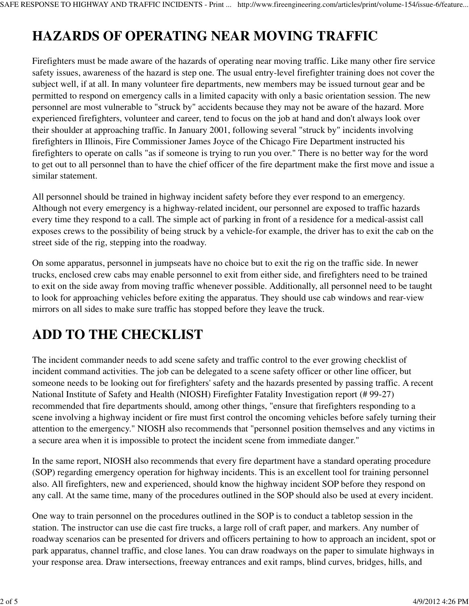# **HAZARDS OF OPERATING NEAR MOVING TRAFFIC**

Firefighters must be made aware of the hazards of operating near moving traffic. Like many other fire service safety issues, awareness of the hazard is step one. The usual entry-level firefighter training does not cover the subject well, if at all. In many volunteer fire departments, new members may be issued turnout gear and be permitted to respond on emergency calls in a limited capacity with only a basic orientation session. The new personnel are most vulnerable to "struck by" accidents because they may not be aware of the hazard. More experienced firefighters, volunteer and career, tend to focus on the job at hand and don't always look over their shoulder at approaching traffic. In January 2001, following several "struck by" incidents involving firefighters in Illinois, Fire Commissioner James Joyce of the Chicago Fire Department instructed his firefighters to operate on calls "as if someone is trying to run you over." There is no better way for the word to get out to all personnel than to have the chief officer of the fire department make the first move and issue a similar statement.

All personnel should be trained in highway incident safety before they ever respond to an emergency. Although not every emergency is a highway-related incident, our personnel are exposed to traffic hazards every time they respond to a call. The simple act of parking in front of a residence for a medical-assist call exposes crews to the possibility of being struck by a vehicle-for example, the driver has to exit the cab on the street side of the rig, stepping into the roadway.

On some apparatus, personnel in jumpseats have no choice but to exit the rig on the traffic side. In newer trucks, enclosed crew cabs may enable personnel to exit from either side, and firefighters need to be trained to exit on the side away from moving traffic whenever possible. Additionally, all personnel need to be taught to look for approaching vehicles before exiting the apparatus. They should use cab windows and rear-view mirrors on all sides to make sure traffic has stopped before they leave the truck.

#### **ADD TO THE CHECKLIST**

The incident commander needs to add scene safety and traffic control to the ever growing checklist of incident command activities. The job can be delegated to a scene safety officer or other line officer, but someone needs to be looking out for firefighters' safety and the hazards presented by passing traffic. A recent National Institute of Safety and Health (NIOSH) Firefighter Fatality Investigation report (# 99-27) recommended that fire departments should, among other things, "ensure that firefighters responding to a scene involving a highway incident or fire must first control the oncoming vehicles before safely turning their attention to the emergency." NIOSH also recommends that "personnel position themselves and any victims in a secure area when it is impossible to protect the incident scene from immediate danger."

In the same report, NIOSH also recommends that every fire department have a standard operating procedure (SOP) regarding emergency operation for highway incidents. This is an excellent tool for training personnel also. All firefighters, new and experienced, should know the highway incident SOP before they respond on any call. At the same time, many of the procedures outlined in the SOP should also be used at every incident.

One way to train personnel on the procedures outlined in the SOP is to conduct a tabletop session in the station. The instructor can use die cast fire trucks, a large roll of craft paper, and markers. Any number of roadway scenarios can be presented for drivers and officers pertaining to how to approach an incident, spot or park apparatus, channel traffic, and close lanes. You can draw roadways on the paper to simulate highways in your response area. Draw intersections, freeway entrances and exit ramps, blind curves, bridges, hills, and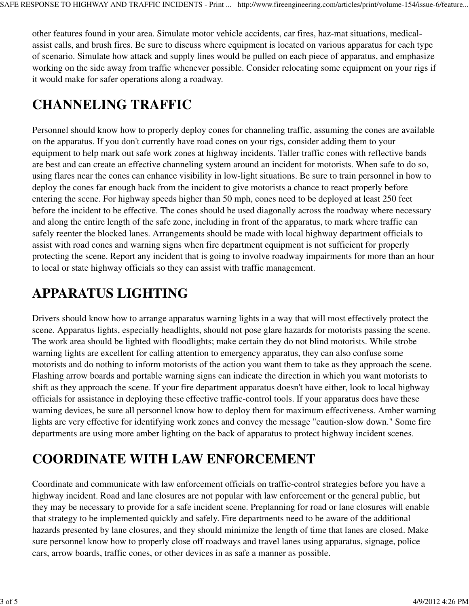other features found in your area. Simulate motor vehicle accidents, car fires, haz-mat situations, medicalassist calls, and brush fires. Be sure to discuss where equipment is located on various apparatus for each type of scenario. Simulate how attack and supply lines would be pulled on each piece of apparatus, and emphasize working on the side away from traffic whenever possible. Consider relocating some equipment on your rigs if it would make for safer operations along a roadway.

#### **CHANNELING TRAFFIC**

Personnel should know how to properly deploy cones for channeling traffic, assuming the cones are available on the apparatus. If you don't currently have road cones on your rigs, consider adding them to your equipment to help mark out safe work zones at highway incidents. Taller traffic cones with reflective bands are best and can create an effective channeling system around an incident for motorists. When safe to do so, using flares near the cones can enhance visibility in low-light situations. Be sure to train personnel in how to deploy the cones far enough back from the incident to give motorists a chance to react properly before entering the scene. For highway speeds higher than 50 mph, cones need to be deployed at least 250 feet before the incident to be effective. The cones should be used diagonally across the roadway where necessary and along the entire length of the safe zone, including in front of the apparatus, to mark where traffic can safely reenter the blocked lanes. Arrangements should be made with local highway department officials to assist with road cones and warning signs when fire department equipment is not sufficient for properly protecting the scene. Report any incident that is going to involve roadway impairments for more than an hour to local or state highway officials so they can assist with traffic management.

#### **APPARATUS LIGHTING**

Drivers should know how to arrange apparatus warning lights in a way that will most effectively protect the scene. Apparatus lights, especially headlights, should not pose glare hazards for motorists passing the scene. The work area should be lighted with floodlights; make certain they do not blind motorists. While strobe warning lights are excellent for calling attention to emergency apparatus, they can also confuse some motorists and do nothing to inform motorists of the action you want them to take as they approach the scene. Flashing arrow boards and portable warning signs can indicate the direction in which you want motorists to shift as they approach the scene. If your fire department apparatus doesn't have either, look to local highway officials for assistance in deploying these effective traffic-control tools. If your apparatus does have these warning devices, be sure all personnel know how to deploy them for maximum effectiveness. Amber warning lights are very effective for identifying work zones and convey the message "caution-slow down." Some fire departments are using more amber lighting on the back of apparatus to protect highway incident scenes.

#### **COORDINATE WITH LAW ENFORCEMENT**

Coordinate and communicate with law enforcement officials on traffic-control strategies before you have a highway incident. Road and lane closures are not popular with law enforcement or the general public, but they may be necessary to provide for a safe incident scene. Preplanning for road or lane closures will enable that strategy to be implemented quickly and safely. Fire departments need to be aware of the additional hazards presented by lane closures, and they should minimize the length of time that lanes are closed. Make sure personnel know how to properly close off roadways and travel lanes using apparatus, signage, police cars, arrow boards, traffic cones, or other devices in as safe a manner as possible.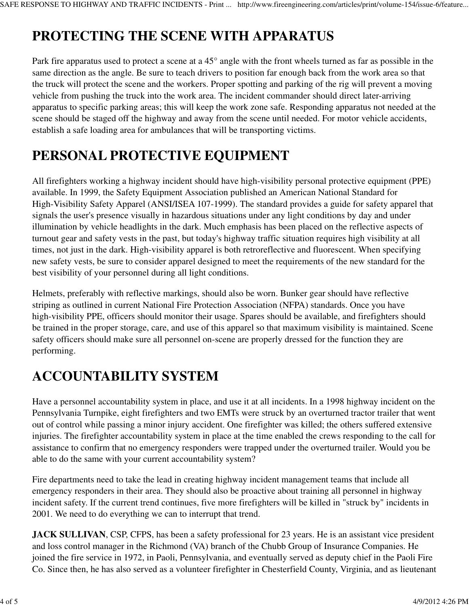# **PROTECTING THE SCENE WITH APPARATUS**

Park fire apparatus used to protect a scene at a 45° angle with the front wheels turned as far as possible in the same direction as the angle. Be sure to teach drivers to position far enough back from the work area so that the truck will protect the scene and the workers. Proper spotting and parking of the rig will prevent a moving vehicle from pushing the truck into the work area. The incident commander should direct later-arriving apparatus to specific parking areas; this will keep the work zone safe. Responding apparatus not needed at the scene should be staged off the highway and away from the scene until needed. For motor vehicle accidents, establish a safe loading area for ambulances that will be transporting victims.

#### **PERSONAL PROTECTIVE EQUIPMENT**

All firefighters working a highway incident should have high-visibility personal protective equipment (PPE) available. In 1999, the Safety Equipment Association published an American National Standard for High-Visibility Safety Apparel (ANSI/ISEA 107-1999). The standard provides a guide for safety apparel that signals the user's presence visually in hazardous situations under any light conditions by day and under illumination by vehicle headlights in the dark. Much emphasis has been placed on the reflective aspects of turnout gear and safety vests in the past, but today's highway traffic situation requires high visibility at all times, not just in the dark. High-visibility apparel is both retroreflective and fluorescent. When specifying new safety vests, be sure to consider apparel designed to meet the requirements of the new standard for the best visibility of your personnel during all light conditions.

Helmets, preferably with reflective markings, should also be worn. Bunker gear should have reflective striping as outlined in current National Fire Protection Association (NFPA) standards. Once you have high-visibility PPE, officers should monitor their usage. Spares should be available, and firefighters should be trained in the proper storage, care, and use of this apparel so that maximum visibility is maintained. Scene safety officers should make sure all personnel on-scene are properly dressed for the function they are performing.

# **ACCOUNTABILITY SYSTEM**

Have a personnel accountability system in place, and use it at all incidents. In a 1998 highway incident on the Pennsylvania Turnpike, eight firefighters and two EMTs were struck by an overturned tractor trailer that went out of control while passing a minor injury accident. One firefighter was killed; the others suffered extensive injuries. The firefighter accountability system in place at the time enabled the crews responding to the call for assistance to confirm that no emergency responders were trapped under the overturned trailer. Would you be able to do the same with your current accountability system?

Fire departments need to take the lead in creating highway incident management teams that include all emergency responders in their area. They should also be proactive about training all personnel in highway incident safety. If the current trend continues, five more firefighters will be killed in "struck by" incidents in 2001. We need to do everything we can to interrupt that trend.

**JACK SULLIVAN, CSP, CFPS, has been a safety professional for 23 years. He is an assistant vice president** and loss control manager in the Richmond (VA) branch of the Chubb Group of Insurance Companies. He joined the fire service in 1972, in Paoli, Pennsylvania, and eventually served as deputy chief in the Paoli Fire Co. Since then, he has also served as a volunteer firefighter in Chesterfield County, Virginia, and as lieutenant